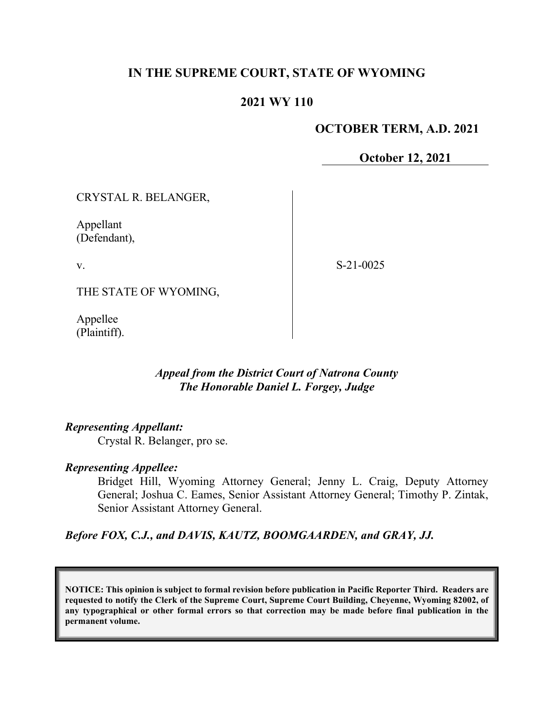## **IN THE SUPREME COURT, STATE OF WYOMING**

#### **2021 WY 110**

#### **OCTOBER TERM, A.D. 2021**

**October 12, 2021**

CRYSTAL R. BELANGER,

Appellant (Defendant),

v.

S-21-0025

THE STATE OF WYOMING,

Appellee (Plaintiff).

#### *Appeal from the District Court of Natrona County The Honorable Daniel L. Forgey, Judge*

#### *Representing Appellant:*

Crystal R. Belanger, pro se.

#### *Representing Appellee:*

Bridget Hill, Wyoming Attorney General; Jenny L. Craig, Deputy Attorney General; Joshua C. Eames, Senior Assistant Attorney General; Timothy P. Zintak, Senior Assistant Attorney General.

*Before FOX, C.J., and DAVIS, KAUTZ, BOOMGAARDEN, and GRAY, JJ.*

**NOTICE: This opinion is subject to formal revision before publication in Pacific Reporter Third. Readers are requested to notify the Clerk of the Supreme Court, Supreme Court Building, Cheyenne, Wyoming 82002, of any typographical or other formal errors so that correction may be made before final publication in the permanent volume.**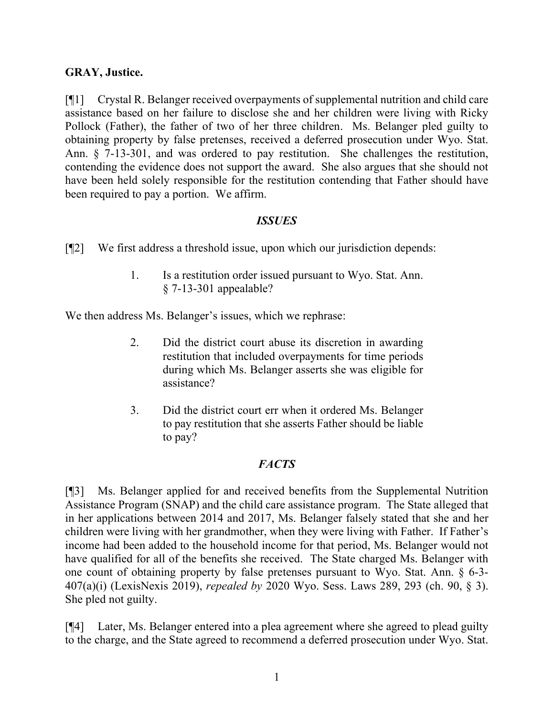## **GRAY, Justice.**

[¶1] Crystal R. Belanger received overpayments of supplemental nutrition and child care assistance based on her failure to disclose she and her children were living with Ricky Pollock (Father), the father of two of her three children. Ms. Belanger pled guilty to obtaining property by false pretenses, received a deferred prosecution under Wyo. Stat. Ann. § 7-13-301, and was ordered to pay restitution. She challenges the restitution, contending the evidence does not support the award. She also argues that she should not have been held solely responsible for the restitution contending that Father should have been required to pay a portion. We affirm.

#### *ISSUES*

[¶2] We first address a threshold issue, upon which our jurisdiction depends:

1. Is a restitution order issued pursuant to Wyo. Stat. Ann. § 7-13-301 appealable?

We then address Ms. Belanger's issues, which we rephrase:

- 2. Did the district court abuse its discretion in awarding restitution that included overpayments for time periods during which Ms. Belanger asserts she was eligible for assistance?
- 3. Did the district court err when it ordered Ms. Belanger to pay restitution that she asserts Father should be liable to pay?

## *FACTS*

[¶3] Ms. Belanger applied for and received benefits from the Supplemental Nutrition Assistance Program (SNAP) and the child care assistance program. The State alleged that in her applications between 2014 and 2017, Ms. Belanger falsely stated that she and her children were living with her grandmother, when they were living with Father. If Father's income had been added to the household income for that period, Ms. Belanger would not have qualified for all of the benefits she received. The State charged Ms. Belanger with one count of obtaining property by false pretenses pursuant to Wyo. Stat. Ann. § 6-3- 407(a)(i) (LexisNexis 2019), *repealed by* 2020 Wyo. Sess. Laws 289, 293 (ch. 90, § 3). She pled not guilty.

[¶4] Later, Ms. Belanger entered into a plea agreement where she agreed to plead guilty to the charge, and the State agreed to recommend a deferred prosecution under Wyo. Stat.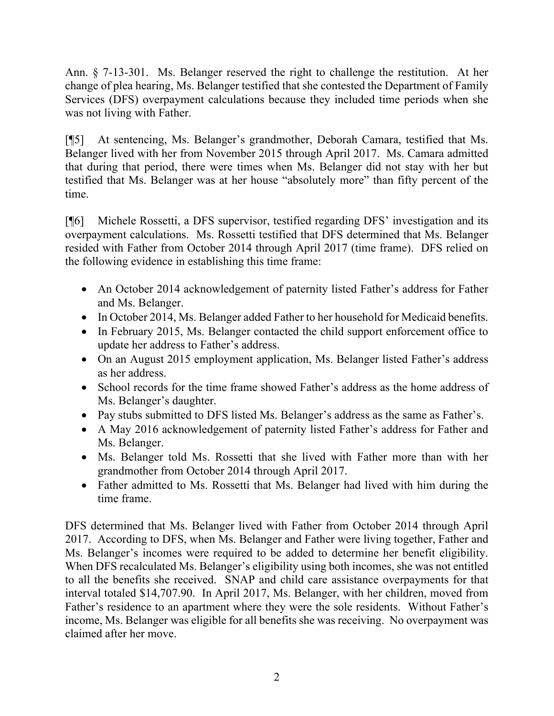Ann. § 7-13-301. Ms. Belanger reserved the right to challenge the restitution. At her change of plea hearing, Ms. Belanger testified that she contested the Department of Family Services (DFS) overpayment calculations because they included time periods when she was not living with Father.

[¶5] At sentencing, Ms. Belanger's grandmother, Deborah Camara, testified that Ms. Belanger lived with her from November 2015 through April 2017. Ms. Camara admitted that during that period, there were times when Ms. Belanger did not stay with her but testified that Ms. Belanger was at her house "absolutely more" than fifty percent of the time.

[¶6] Michele Rossetti, a DFS supervisor, testified regarding DFS' investigation and its overpayment calculations. Ms. Rossetti testified that DFS determined that Ms. Belanger resided with Father from October 2014 through April 2017 (time frame). DFS relied on the following evidence in establishing this time frame:

- An October 2014 acknowledgement of paternity listed Father's address for Father and Ms. Belanger.
- In October 2014, Ms. Belanger added Father to her household for Medicaid benefits.
- In February 2015, Ms. Belanger contacted the child support enforcement office to update her address to Father's address.
- On an August 2015 employment application, Ms. Belanger listed Father's address as her address.
- School records for the time frame showed Father's address as the home address of Ms. Belanger's daughter.
- Pay stubs submitted to DFS listed Ms. Belanger's address as the same as Father's.
- A May 2016 acknowledgement of paternity listed Father's address for Father and Ms. Belanger.
- Ms. Belanger told Ms. Rossetti that she lived with Father more than with her grandmother from October 2014 through April 2017.
- Father admitted to Ms. Rossetti that Ms. Belanger had lived with him during the time frame.

DFS determined that Ms. Belanger lived with Father from October 2014 through April 2017. According to DFS, when Ms. Belanger and Father were living together, Father and Ms. Belanger's incomes were required to be added to determine her benefit eligibility. When DFS recalculated Ms. Belanger's eligibility using both incomes, she was not entitled to all the benefits she received. SNAP and child care assistance overpayments for that interval totaled \$14,707.90. In April 2017, Ms. Belanger, with her children, moved from Father's residence to an apartment where they were the sole residents. Without Father's income, Ms. Belanger was eligible for all benefits she was receiving. No overpayment was claimed after her move.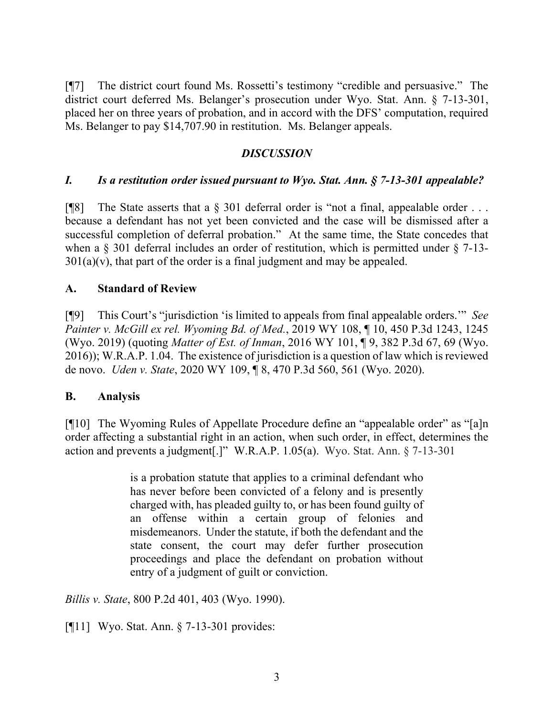[¶7] The district court found Ms. Rossetti's testimony "credible and persuasive." The district court deferred Ms. Belanger's prosecution under Wyo. Stat. Ann. § 7-13-301, placed her on three years of probation, and in accord with the DFS' computation, required Ms. Belanger to pay \$14,707.90 in restitution. Ms. Belanger appeals.

# *DISCUSSION*

## *I. Is a restitution order issued pursuant to Wyo. Stat. Ann. § 7-13-301 appealable?*

[ $[$ [8] The State asserts that a  $\S$  301 deferral order is "not a final, appealable order ... because a defendant has not yet been convicted and the case will be dismissed after a successful completion of deferral probation." At the same time, the State concedes that when a § 301 deferral includes an order of restitution, which is permitted under § 7-13-  $301(a)(v)$ , that part of the order is a final judgment and may be appealed.

## **A. Standard of Review**

[¶9] This Court's "jurisdiction 'is limited to appeals from final appealable orders.'" *See Painter v. McGill ex rel. Wyoming Bd. of Med.*, 2019 WY 108, ¶ 10, 450 P.3d 1243, 1245 (Wyo. 2019) (quoting *Matter of Est. of Inman*, 2016 WY 101, ¶ 9, 382 P.3d 67, 69 (Wyo. 2016)); W.R.A.P. 1.04. The existence of jurisdiction is a question of law which is reviewed de novo. *Uden v. State*, 2020 WY 109, ¶ 8, 470 P.3d 560, 561 (Wyo. 2020).

## **B. Analysis**

[¶10] The Wyoming Rules of Appellate Procedure define an "appealable order" as "[a]n order affecting a substantial right in an action, when such order, in effect, determines the action and prevents a judgment[.]" W.R.A.P. 1.05(a). Wyo. Stat. Ann. § 7-13-301

> is a probation statute that applies to a criminal defendant who has never before been convicted of a felony and is presently charged with, has pleaded guilty to, or has been found guilty of an offense within a certain group of felonies and misdemeanors. Under the statute, if both the defendant and the state consent, the court may defer further prosecution proceedings and place the defendant on probation without entry of a judgment of guilt or conviction.

*Billis v. State*, 800 P.2d 401, 403 (Wyo. 1990).

[¶11] Wyo. Stat. Ann. § 7-13-301 provides: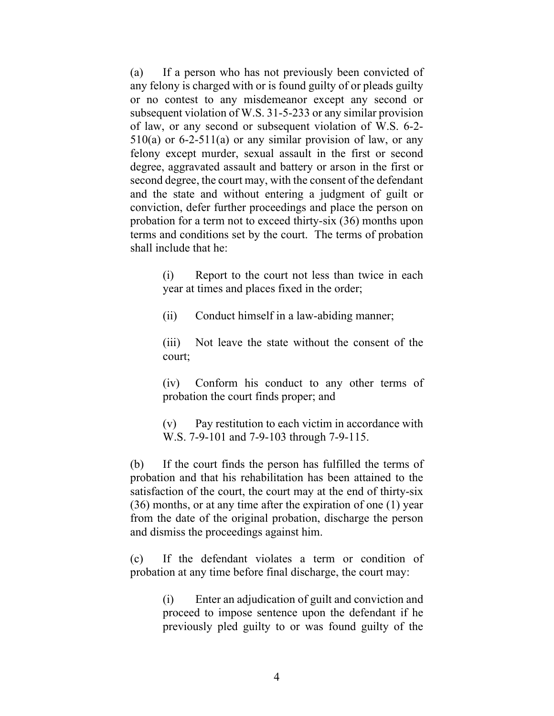(a) If a person who has not previously been convicted of any felony is charged with or is found guilty of or pleads guilty or no contest to any misdemeanor except any second or subsequent violation of W.S. 31-5-233 or any similar provision of law, or any second or subsequent violation of W.S. 6-2-  $510(a)$  or 6-2-511(a) or any similar provision of law, or any felony except murder, sexual assault in the first or second degree, aggravated assault and battery or arson in the first or second degree, the court may, with the consent of the defendant and the state and without entering a judgment of guilt or conviction, defer further proceedings and place the person on probation for a term not to exceed thirty-six (36) months upon terms and conditions set by the court. The terms of probation shall include that he:

> (i) Report to the court not less than twice in each year at times and places fixed in the order;

(ii) Conduct himself in a law-abiding manner;

(iii) Not leave the state without the consent of the court;

(iv) Conform his conduct to any other terms of probation the court finds proper; and

(v) Pay restitution to each victim in accordance with W.S. 7-9-101 and 7-9-103 through 7-9-115.

(b) If the court finds the person has fulfilled the terms of probation and that his rehabilitation has been attained to the satisfaction of the court, the court may at the end of thirty-six (36) months, or at any time after the expiration of one (1) year from the date of the original probation, discharge the person and dismiss the proceedings against him.

(c) If the defendant violates a term or condition of probation at any time before final discharge, the court may:

> (i) Enter an adjudication of guilt and conviction and proceed to impose sentence upon the defendant if he previously pled guilty to or was found guilty of the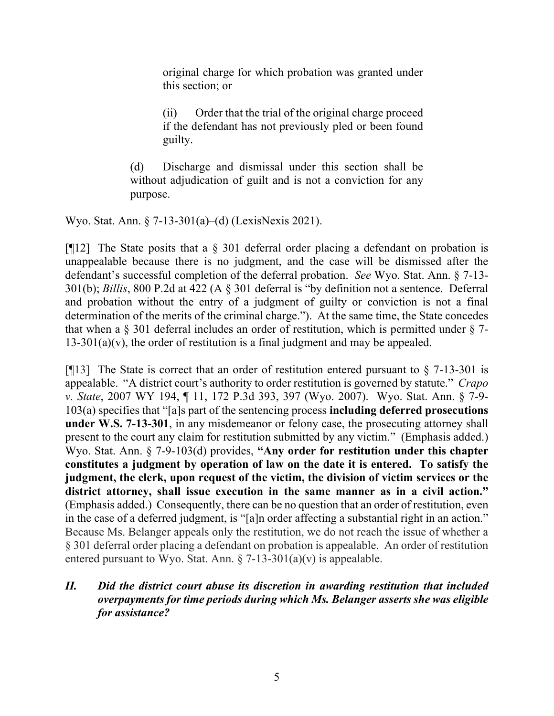original charge for which probation was granted under this section; or

(ii) Order that the trial of the original charge proceed if the defendant has not previously pled or been found guilty.

(d) Discharge and dismissal under this section shall be without adjudication of guilt and is not a conviction for any purpose.

Wyo. Stat. Ann. § 7-13-301(a)–(d) (LexisNexis 2021).

[ $[12]$ ] The State posits that a  $\S$  301 deferral order placing a defendant on probation is unappealable because there is no judgment, and the case will be dismissed after the defendant's successful completion of the deferral probation. *See* Wyo. Stat. Ann. § 7-13- 301(b); *Billis*, 800 P.2d at 422 (A § 301 deferral is "by definition not a sentence. Deferral and probation without the entry of a judgment of guilty or conviction is not a final determination of the merits of the criminal charge."). At the same time, the State concedes that when a  $\S$  301 deferral includes an order of restitution, which is permitted under  $\S$  7- $13-301(a)(v)$ , the order of restitution is a final judgment and may be appealed.

[ $[13]$ ] The State is correct that an order of restitution entered pursuant to  $\S$  7-13-301 is appealable. "A district court's authority to order restitution is governed by statute." *Crapo v. State*, 2007 WY 194, ¶ 11, 172 P.3d 393, 397 (Wyo. 2007). Wyo. Stat. Ann. § 7-9- 103(a) specifies that "[a]s part of the sentencing process **including deferred prosecutions under W.S. 7-13-301**, in any misdemeanor or felony case, the prosecuting attorney shall present to the court any claim for restitution submitted by any victim." (Emphasis added.) Wyo. Stat. Ann. § 7-9-103(d) provides, **"Any order for restitution under this chapter constitutes a judgment by operation of law on the date it is entered. To satisfy the judgment, the clerk, upon request of the victim, the division of victim services or the district attorney, shall issue execution in the same manner as in a civil action."** (Emphasis added.) Consequently, there can be no question that an order of restitution, even in the case of a deferred judgment, is "[a]n order affecting a substantial right in an action." Because Ms. Belanger appeals only the restitution, we do not reach the issue of whether a § 301 deferral order placing a defendant on probation is appealable. An order of restitution entered pursuant to Wyo. Stat. Ann.  $\S$  7-13-301(a)(v) is appealable.

## *II. Did the district court abuse its discretion in awarding restitution that included overpayments for time periods during which Ms. Belanger asserts she was eligible for assistance?*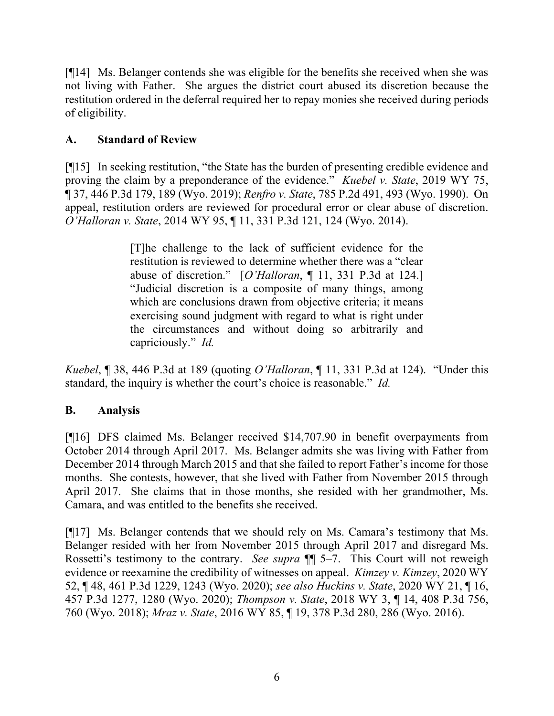[¶14] Ms. Belanger contends she was eligible for the benefits she received when she was not living with Father. She argues the district court abused its discretion because the restitution ordered in the deferral required her to repay monies she received during periods of eligibility.

# **A. Standard of Review**

[¶15] In seeking restitution, "the State has the burden of presenting credible evidence and proving the claim by a preponderance of the evidence." *Kuebel v. State*, 2019 WY 75, ¶ 37, 446 P.3d 179, 189 (Wyo. 2019); *Renfro v. State*, 785 P.2d 491, 493 (Wyo. 1990). On appeal, restitution orders are reviewed for procedural error or clear abuse of discretion. *O'Halloran v. State*, 2014 WY 95, ¶ 11, 331 P.3d 121, 124 (Wyo. 2014).

> [T]he challenge to the lack of sufficient evidence for the restitution is reviewed to determine whether there was a "clear abuse of discretion." [*O'Halloran*, ¶ 11, 331 P.3d at 124.] "Judicial discretion is a composite of many things, among which are conclusions drawn from objective criteria; it means exercising sound judgment with regard to what is right under the circumstances and without doing so arbitrarily and capriciously." *Id.*

*Kuebel*, ¶ 38, 446 P.3d at 189 (quoting *O'Halloran*, ¶ 11, 331 P.3d at 124). "Under this standard, the inquiry is whether the court's choice is reasonable." *Id.*

# **B. Analysis**

[¶16] DFS claimed Ms. Belanger received \$14,707.90 in benefit overpayments from October 2014 through April 2017. Ms. Belanger admits she was living with Father from December 2014 through March 2015 and that she failed to report Father's income for those months. She contests, however, that she lived with Father from November 2015 through April 2017. She claims that in those months, she resided with her grandmother, Ms. Camara, and was entitled to the benefits she received.

[¶17] Ms. Belanger contends that we should rely on Ms. Camara's testimony that Ms. Belanger resided with her from November 2015 through April 2017 and disregard Ms. Rossetti's testimony to the contrary. *See supra* ¶¶ 5–7. This Court will not reweigh evidence or reexamine the credibility of witnesses on appeal. *Kimzey v. Kimzey*, 2020 WY 52, ¶ 48, 461 P.3d 1229, 1243 (Wyo. 2020); *see also Huckins v. State*, 2020 WY 21, ¶ 16, 457 P.3d 1277, 1280 (Wyo. 2020); *Thompson v. State*, 2018 WY 3, ¶ 14, 408 P.3d 756, 760 (Wyo. 2018); *Mraz v. State*, 2016 WY 85, ¶ 19, 378 P.3d 280, 286 (Wyo. 2016).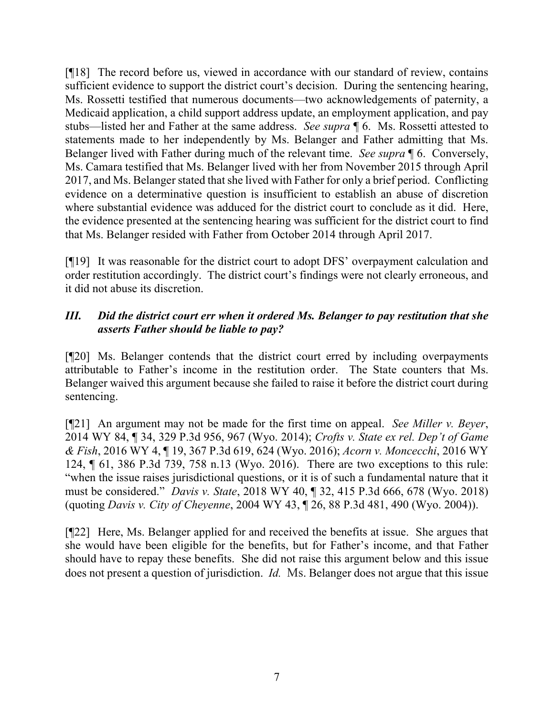[¶18] The record before us, viewed in accordance with our standard of review, contains sufficient evidence to support the district court's decision. During the sentencing hearing, Ms. Rossetti testified that numerous documents—two acknowledgements of paternity, a Medicaid application, a child support address update, an employment application, and pay stubs—listed her and Father at the same address. *See supra* ¶ 6. Ms. Rossetti attested to statements made to her independently by Ms. Belanger and Father admitting that Ms. Belanger lived with Father during much of the relevant time. *See supra* ¶ 6. Conversely, Ms. Camara testified that Ms. Belanger lived with her from November 2015 through April 2017, and Ms. Belanger stated that she lived with Father for only a brief period. Conflicting evidence on a determinative question is insufficient to establish an abuse of discretion where substantial evidence was adduced for the district court to conclude as it did. Here, the evidence presented at the sentencing hearing was sufficient for the district court to find that Ms. Belanger resided with Father from October 2014 through April 2017.

[¶19] It was reasonable for the district court to adopt DFS' overpayment calculation and order restitution accordingly. The district court's findings were not clearly erroneous, and it did not abuse its discretion.

## *III. Did the district court err when it ordered Ms. Belanger to pay restitution that she asserts Father should be liable to pay?*

[¶20] Ms. Belanger contends that the district court erred by including overpayments attributable to Father's income in the restitution order. The State counters that Ms. Belanger waived this argument because she failed to raise it before the district court during sentencing.

[¶21] An argument may not be made for the first time on appeal. *See Miller v. Beyer*, 2014 WY 84, ¶ 34, 329 P.3d 956, 967 (Wyo. 2014); *Crofts v. State ex rel. Dep't of Game & Fish*, 2016 WY 4, ¶ 19, 367 P.3d 619, 624 (Wyo. 2016); *Acorn v. Moncecchi*, 2016 WY 124, ¶ 61, 386 P.3d 739, 758 n.13 (Wyo. 2016). There are two exceptions to this rule: "when the issue raises jurisdictional questions, or it is of such a fundamental nature that it must be considered." *Davis v. State*, 2018 WY 40, ¶ 32, 415 P.3d 666, 678 (Wyo. 2018) (quoting *Davis v. City of Cheyenne*, 2004 WY 43, ¶ 26, 88 P.3d 481, 490 (Wyo. 2004)).

[¶22] Here, Ms. Belanger applied for and received the benefits at issue. She argues that she would have been eligible for the benefits, but for Father's income, and that Father should have to repay these benefits. She did not raise this argument below and this issue does not present a question of jurisdiction. *Id.* Ms. Belanger does not argue that this issue